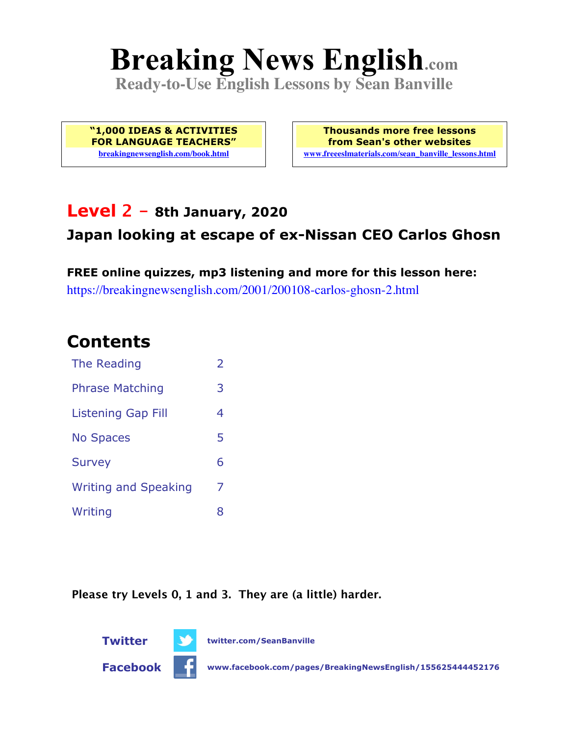# **Breaking News English.com**

**Ready-to-Use English Lessons by Sean Banville**

**"1,000 IDEAS & ACTIVITIES FOR LANGUAGE TEACHERS" breakingnewsenglish.com/book.html**

**Thousands more free lessons from Sean's other websites www.freeeslmaterials.com/sean\_banville\_lessons.html**

### **Level 2 - 8th January, 2020**

### **Japan looking at escape of ex-Nissan CEO Carlos Ghosn**

**FREE online quizzes, mp3 listening and more for this lesson here:** https://breakingnewsenglish.com/2001/200108-carlos-ghosn-2.html

### **Contents**

| The Reading                 | $\overline{\phantom{a}}$ |
|-----------------------------|--------------------------|
| <b>Phrase Matching</b>      | 3                        |
| <b>Listening Gap Fill</b>   | 4                        |
| <b>No Spaces</b>            | 5                        |
| <b>Survey</b>               | 6                        |
| <b>Writing and Speaking</b> | 7                        |
| Writing                     | 8                        |

**Please try Levels 0, 1 and 3. They are (a little) harder.**

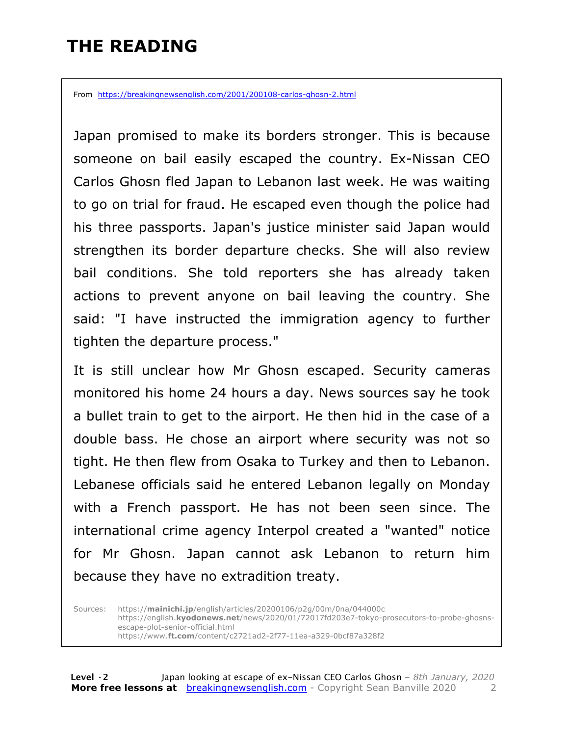# **THE READING**

From https://breakingnewsenglish.com/2001/200108-carlos-ghosn-2.html

Japan promised to make its borders stronger. This is because someone on bail easily escaped the country. Ex-Nissan CEO Carlos Ghosn fled Japan to Lebanon last week. He was waiting to go on trial for fraud. He escaped even though the police had his three passports. Japan's justice minister said Japan would strengthen its border departure checks. She will also review bail conditions. She told reporters she has already taken actions to prevent anyone on bail leaving the country. She said: "I have instructed the immigration agency to further tighten the departure process."

It is still unclear how Mr Ghosn escaped. Security cameras monitored his home 24 hours a day. News sources say he took a bullet train to get to the airport. He then hid in the case of a double bass. He chose an airport where security was not so tight. He then flew from Osaka to Turkey and then to Lebanon. Lebanese officials said he entered Lebanon legally on Monday with a French passport. He has not been seen since. The international crime agency Interpol created a "wanted" notice for Mr Ghosn. Japan cannot ask Lebanon to return him because they have no extradition treaty.

Sources: https://**mainichi.jp**/english/articles/20200106/p2g/00m/0na/044000c https://english.**kyodonews.net**/news/2020/01/72017fd203e7-tokyo-prosecutors-to-probe-ghosnsescape-plot-senior-official.html https://www.**ft.com**/content/c2721ad2-2f77-11ea-a329-0bcf87a328f2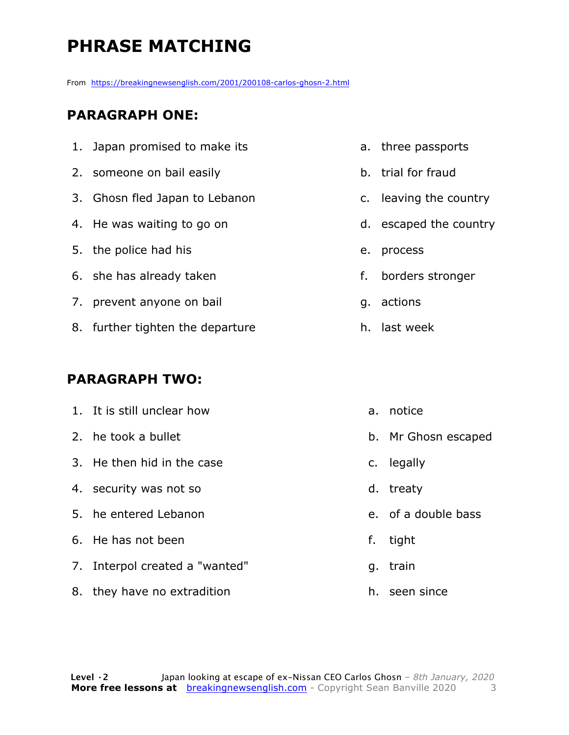# **PHRASE MATCHING**

From https://breakingnewsenglish.com/2001/200108-carlos-ghosn-2.html

#### **PARAGRAPH ONE:**

| 1. Japan promised to make its    |    | a. three passports     |
|----------------------------------|----|------------------------|
| 2. someone on bail easily        |    | b. trial for fraud     |
| 3. Ghosn fled Japan to Lebanon   |    | c. leaving the country |
| 4. He was waiting to go on       |    | d. escaped the country |
| 5. the police had his            | е. | process                |
| 6. she has already taken         | f. | borders stronger       |
| 7. prevent anyone on bail        |    | g. actions             |
| 8. further tighten the departure |    | h. last week           |

#### **PARAGRAPH TWO:**

| 1. It is still unclear how     |    | a. notice           |
|--------------------------------|----|---------------------|
| 2. he took a bullet            |    | b. Mr Ghosn escaped |
| 3. He then hid in the case     |    | c. legally          |
| 4. security was not so         |    | d. treaty           |
| 5. he entered Lebanon          |    | e. of a double bass |
| 6. He has not been             | f. | tight               |
| 7. Interpol created a "wanted" |    | g. train            |
| 8. they have no extradition    |    | h. seen since       |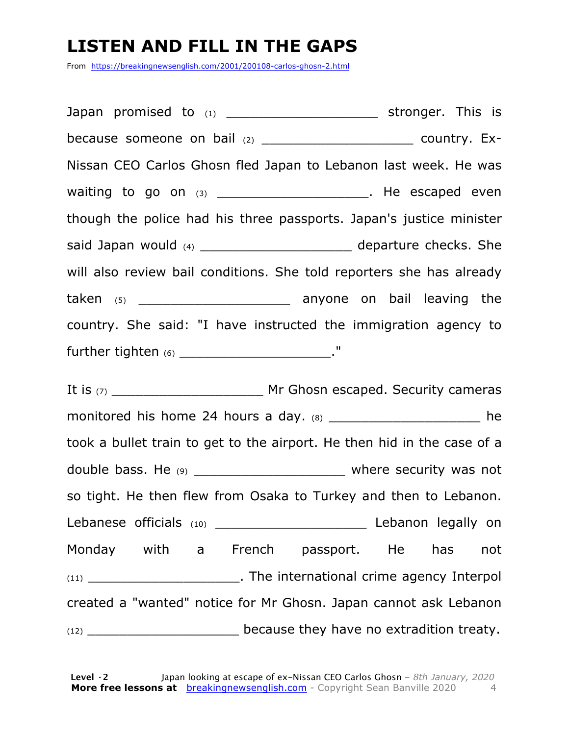# **LISTEN AND FILL IN THE GAPS**

From https://breakingnewsenglish.com/2001/200108-carlos-ghosn-2.html

Japan promised to  $(1)$   $(2)$   $(3)$   $(4)$  stronger. This is because someone on bail (2) \_\_\_\_\_\_\_\_\_\_\_\_\_\_\_\_\_\_\_\_\_\_\_\_\_ country. Ex-Nissan CEO Carlos Ghosn fled Japan to Lebanon last week. He was waiting to go on  $(3)$  \_\_\_\_\_\_\_\_\_\_\_\_\_\_\_\_\_\_\_\_\_\_. He escaped even though the police had his three passports. Japan's justice minister said Japan would (4) \_\_\_\_\_\_\_\_\_\_\_\_\_\_\_\_\_\_\_\_\_\_ departure checks. She will also review bail conditions. She told reporters she has already taken (5) \_\_\_\_\_\_\_\_\_\_\_\_\_\_\_\_\_\_\_ anyone on bail leaving the country. She said: "I have instructed the immigration agency to further tighten (6) \_\_\_\_\_\_\_\_\_\_\_\_\_\_\_\_\_\_\_\_\_\_\_\_\_\_\_\_\_\_."

It is (7) The Security cameras Mr Ghosn escaped. Security cameras monitored his home 24 hours a day.  $(8)$  and the heat of the heat of the heat of the heat of the heat of the heat of the heat of the heat of the heat of the heat of the heat of the heat of the heat of the heat of the heat took a bullet train to get to the airport. He then hid in the case of a double bass. He (9) \_\_\_\_\_\_\_\_\_\_\_\_\_\_\_\_\_\_\_\_\_\_\_ where security was not so tight. He then flew from Osaka to Turkey and then to Lebanon. Lebanese officials (10) \_\_\_\_\_\_\_\_\_\_\_\_\_\_\_\_\_\_\_ Lebanon legally on Monday with a French passport. He has not (11) \_\_\_\_\_\_\_\_\_\_\_\_\_\_\_\_\_\_\_. The international crime agency Interpol created a "wanted" notice for Mr Ghosn. Japan cannot ask Lebanon (12) \_\_\_\_\_\_\_\_\_\_\_\_\_\_\_\_\_\_\_ because they have no extradition treaty.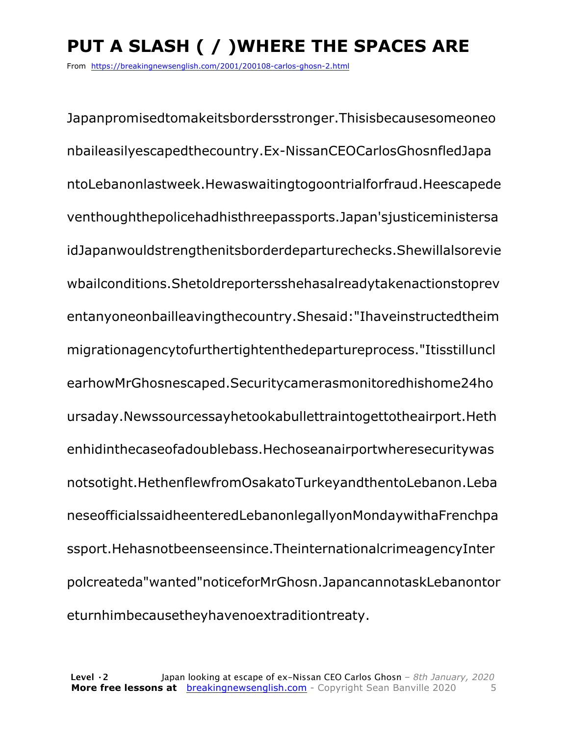# **PUT A SLASH ( / )WHERE THE SPACES ARE**

From https://breakingnewsenglish.com/2001/200108-carlos-ghosn-2.html

Japanpromisedtomakeitsbordersstronger.Thisisbecausesomeoneo nbaileasilyescapedthecountry.Ex-NissanCEOCarlosGhosnfledJapa ntoLebanonlastweek.Hewaswaitingtogoontrialforfraud.Heescapede venthoughthepolicehadhisthreepassports.Japan'sjusticeministersa idJapanwouldstrengthenitsborderdeparturechecks.Shewillalsorevie wbailconditions.Shetoldreportersshehasalreadytakenactionstoprev entanyoneonbailleavingthecountry.Shesaid:"Ihaveinstructedtheim migrationagencytofurthertightenthedepartureprocess."Itisstilluncl earhowMrGhosnescaped.Securitycamerasmonitoredhishome24ho ursaday.Newssourcessayhetookabullettraintogettotheairport.Heth enhidinthecaseofadoublebass.Hechoseanairportwheresecuritywas notsotight.HethenflewfromOsakatoTurkeyandthentoLebanon.Leba neseofficialssaidheenteredLebanonlegallyonMondaywithaFrenchpa ssport.Hehasnotbeenseensince.TheinternationalcrimeagencyInter polcreateda"wanted"noticeforMrGhosn.JapancannotaskLebanontor eturnhimbecausetheyhavenoextraditiontreaty.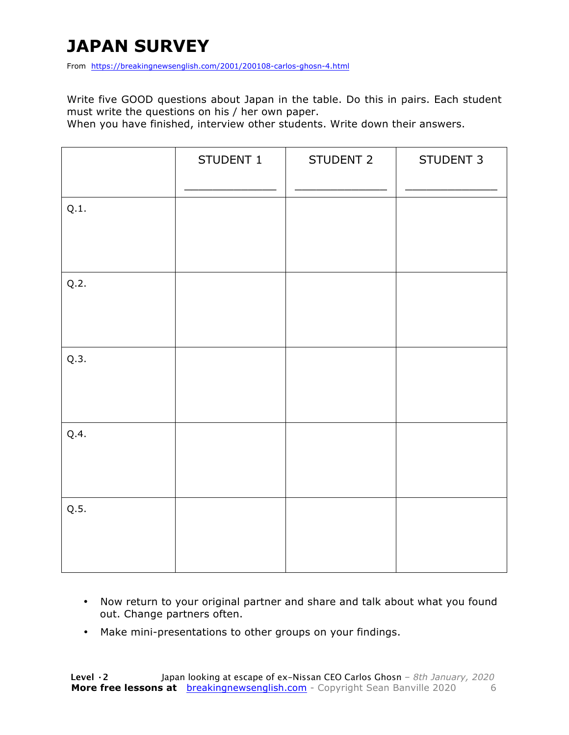# **JAPAN SURVEY**

From https://breakingnewsenglish.com/2001/200108-carlos-ghosn-4.html

Write five GOOD questions about Japan in the table. Do this in pairs. Each student must write the questions on his / her own paper.

When you have finished, interview other students. Write down their answers.

|      | STUDENT 1 | STUDENT 2 | STUDENT 3 |
|------|-----------|-----------|-----------|
| Q.1. |           |           |           |
| Q.2. |           |           |           |
| Q.3. |           |           |           |
| Q.4. |           |           |           |
| Q.5. |           |           |           |

- Now return to your original partner and share and talk about what you found out. Change partners often.
- Make mini-presentations to other groups on your findings.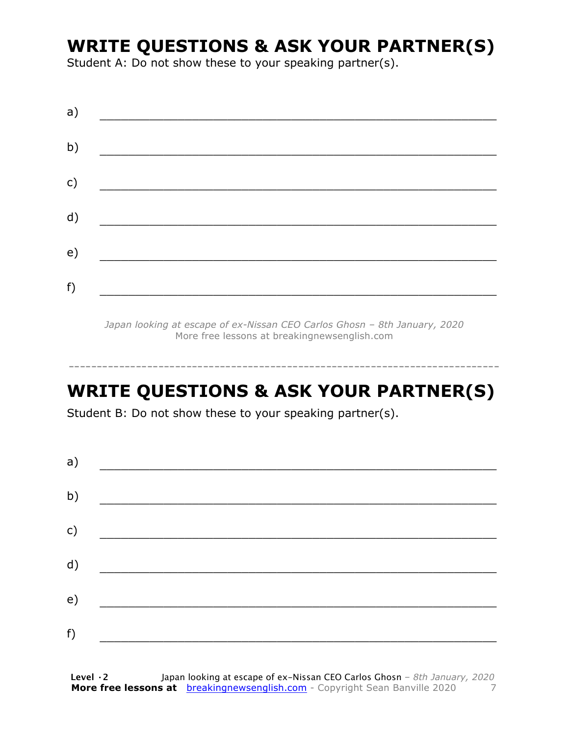# **WRITE QUESTIONS & ASK YOUR PARTNER(S)**

Student A: Do not show these to your speaking partner(s).

*Japan looking at escape of ex-Nissan CEO Carlos Ghosn – 8th January, 2020* More free lessons at breakingnewsenglish.com

### **WRITE QUESTIONS & ASK YOUR PARTNER(S)**

-----------------------------------------------------------------------------

Student B: Do not show these to your speaking partner(s).

| a) |  |  |
|----|--|--|
| b) |  |  |
| c) |  |  |
| d) |  |  |
| e) |  |  |
| f) |  |  |
|    |  |  |

**Level ·2** Japan looking at escape of ex-Nissan CEO Carlos Ghosn *– 8th January, 2020* **More free lessons at** breakingnewsenglish.com - Copyright Sean Banville 2020 7